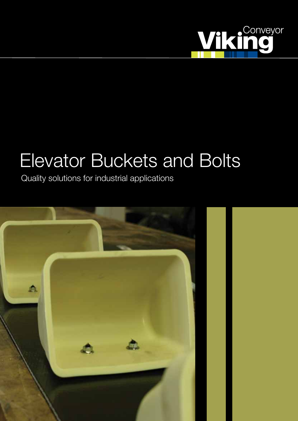

# Elevator Buckets and Bolts

Quality solutions for industrial applications

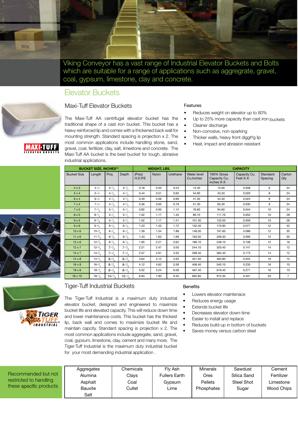

Viking Conveyor has a vast range of Industrial Elevator Buckets and Bolts which are suitable for a range of applications such as aggregrate, gravel, coal, gypsum, limestone, clay and concrete.

## Elevator Buckets



The Maxi-Tuff AA centrifugal elevator bucket has the traditional shape of a cast iron bucket. This bucket has a heavy reinforced lip and comes with a thickened back wall for mounting strength. Standard spacing is projection x 2. The most common applications include handling stone, sand, gravel, coal, fertilizer, clay, salt, limestone and concrete. The Maxi-Tuff AA bucket is the best bucket for tough, abrasive industrial applications.

#### Features

- Reduces weight on elevator up to 80%
- Up to 25% more capacity than cast iron buckets
- Cleaner discharge
- Non-corrosive, non-sparking
- Thicker walls, heavy front digging lip
- Heat, impact and abrasion resistant

| <b>BUCKET SIZE, INCHES**</b> |                    |                   | <b>WEIGHT, LBS.</b> |                   |              | <b>CAPACITY</b> |                           |                                          |                          |                     |                |
|------------------------------|--------------------|-------------------|---------------------|-------------------|--------------|-----------------|---------------------------|------------------------------------------|--------------------------|---------------------|----------------|
| <b>Bucket Size</b>           | Length             | Proj.             | Depth               | (Poly)<br>H.D.P.E | <b>Nylon</b> | Urethane        | Water level<br>Cu. Inches | 100% Gross<br>Capacity Cu.<br>inches X-X | Capacity Cu.<br>Feet X-X | Standard<br>Spacing | Carton<br>Qty  |
| $4 \times 3$                 | $4 - \frac{1}{4}$  | $3 - \frac{1}{2}$ | $3 - \frac{1}{2}$   | 0.18              | 0.20         | 0.24            | 13.40                     | 15.90                                    | 0.008                    | 6                   | 24             |
| $5 \times 4$                 | $5 - 1/4$          | $4 - \frac{1}{8}$ | $4 - \frac{1}{8}$   | 0.44              | 0.51         | 0.60            | 34.80                     | 45.20                                    | 0.020                    | 8                   | 24             |
| 6x4                          | $6 - \frac{1}{4}$  | $4-1/8$           | $4 - \frac{1}{2}$   | 0.49              | 0.56         | 0.69            | 41.50                     | 54.30                                    | 0.024                    | 8                   | 24             |
| $7 \times 4$                 | $7 - \frac{1}{4}$  | $4-1/2$           | $4 - \frac{1}{8}$   | 0.56              | 0.65         | 0.78            | 51.30                     | 65.30                                    | 0.030                    | 8                   | 24             |
| $7 \times 5$                 | $7 - \frac{1}{8}$  | $5 - \frac{1}{4}$ | $5 - \frac{1}{4}$   | 0.82              | 0.93         | 1.14            | 76.60                     | 94.60                                    | 0.044                    | 10                  | 24             |
| $8 \times 5$                 | $8-1/8$            | $5 - \frac{1}{4}$ | $5 - \frac{1}{4}$   | 1.02              | 1.17         | 1.40            | 89.70                     | 111.70                                   | 0.052                    | 10                  | 28             |
| $9 \times 5$                 | $9-1/2$            | $5 - \frac{1}{4}$ | $5 - \frac{1}{4}$   | 1.02              | 1.17         | 1.41            | 101.30                    | 122.00                                   | 0.059                    | 10                  | 28             |
| $9 \times 6$                 | $9-3/8$            | $6 - \frac{1}{8}$ | $6 - \frac{1}{8}$   | 1.23              | 1.45         | 1.72            | 132.40                    | 170.90                                   | 0.077                    | 12                  | 42             |
| $10 \times 6$                | $10^{-3}/_8$       | $6 - \frac{1}{8}$ | $6 - \frac{1}{8}$   | 1.39              | 1.54         | 1.88            | 148.30                    | 191.60                                   | 0.086                    | 12                  | 35             |
| $11 \times 6$                | $11-^{3}/_{\rm g}$ | $6 - \frac{1}{8}$ | $6 - \frac{1}{8}$   | 1.43              | 1.63         | 1.99            | 163.50                    | 209.30                                   | 0.095                    | 12                  | 35             |
| $12 \times 6$                | $12-3/8$           | $6 - \frac{1}{8}$ | $6 - \frac{1}{8}$   | 1.95              | 2.21         | 2.62            | 186.10                    | 248.10                                   | 0.108                    | 12                  | 16             |
| $12 \times 7$                | $12-3/8$           | $7 - \frac{1}{8}$ | $7 - \frac{1}{8}$   | 2.21              | 2.47         | 3.00            | 244.10                    | 320.40                                   | 0.141                    | 14                  | 12             |
| $14 \times 7$                | $14-3/$            | $7 - \frac{1}{8}$ | $7 - \frac{1}{8}$   | 2.57              | 2.91         | 3.50            | 298.40                    | 384.40                                   | 0.173                    | 14                  | 12             |
| $14 \times 8$                | $14-3/8$           | $8-1/8$           | $8-1/2$             | 3.64              | 4.12         | 4.93            | 351.50                    | 463.80                                   | 0.204                    | 16                  | 12             |
| $16 \times 8$                | $16-3/8$           | $8 - \frac{1}{8}$ | $8-1/8$             | 4.12              | 4.62         | 5.58            | 406.40                    | 540.10                                   | 0.235                    | 16                  | 10             |
| $18 \times 8$                | $18-1/8$           | $8-1/8$           | $8-1/8$             | 5.52              | 5.24         | 6.09            | 467.40                    | 619.40                                   | 0.271                    | 16                  | 10             |
| $18 \times 10$               | $18-1/2$           | $10^{-1}/_8$      | $10^{-1}/_{\rm g}$  | 6.83              | 7.80         | 9.40            | 692.60                    | 915.30                                   | 0.401                    | 20                  | $\overline{7}$ |



MAXI-TUFI



Recor restric these

#### Tiger-Tuff Industrial Buckets

The Tiger-Tuff Industrial is a maximum duty industrial elevator bucket, designed and engineered to maximize bucket life and elevated capacity. This will reduce down time and lower maintenance costs. This bucket has the thickest lip, back wall and comes to maximize bucket life and maintain capcity. Standard spacing is projection x 2. The most common applications include aggregate, sand, gravel, coal, gypsum, limestone, clay, cement and many more. The Tiger-Tuff Industrial is the maximum duty industrial bucket for your most demanding industrial application .

#### **Benefits**

- Lowers elevator maintenace
- Reduces energy usage
- **Extends bucket life**
- Decreases elevator down-time
- Easier to install and replace
- Reduces build-up in bottom of buckets
- Saves money versus carbon steel

|                   | Aggregates | Chemicals | Fly Ash              | <b>Minerals</b> | Sawdust           | Cement            |
|-------------------|------------|-----------|----------------------|-----------------|-------------------|-------------------|
| nmended but not   | Alumina    | Clavs     | <b>Fullers Earth</b> | Ores            | Silica Sand       | Fertilizer        |
| ted to handling   | Asphalt    | Coal      | Gypsum               | <b>Pellets</b>  | <b>Steel Shot</b> | Limestone         |
| specific products | Bauxite    | Cullet    | Lime                 | Phosphates      | Sugar             | <b>Wood Chips</b> |
|                   | Salt       |           |                      |                 |                   |                   |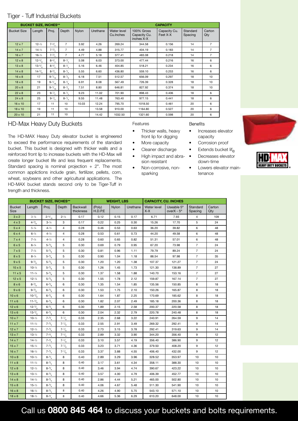#### Tiger - Tuff Industrial Buckets

|                    | <b>BUCKET SIZE, INCHES**</b> |                   |                   |              | <b>CAPACITY</b> |                           |                                          |                          |                     |                |
|--------------------|------------------------------|-------------------|-------------------|--------------|-----------------|---------------------------|------------------------------------------|--------------------------|---------------------|----------------|
| <b>Bucket Size</b> | Length                       | Proj.             | Depth             | <b>Nylon</b> | Urethane        | Water level<br>Cu. Inches | 100% Gross<br>Capacity Cu.<br>inches X-X | Capacity Cu.<br>Feet X-X | Standard<br>Spacing | Carton<br>Qty  |
| $12 \times 7$      | $12 - \frac{1}{2}$           | $7 - \frac{3}{4}$ | $\overline{7}$    | 3.92         | 4.26            | 269.24                    | 344.58                                   | 0.156                    | 14                  | $\overline{7}$ |
| $14 \times 7$      | $14 - \frac{1}{2}$           | $7 - \frac{3}{4}$ | $\overline{7}$    | 4.49         | 4.88            | 315.77                    | 404.19                                   | 0.183                    | 14                  | $\overline{7}$ |
| $16 \times 7$      | $16 - \frac{1}{2}$           | $7 - \frac{3}{4}$ | $\overline{7}$    | 4.77         | 5.18            | 377.41                    | 483.08                                   | 0.218                    | 14                  | $\overline{7}$ |
| $12 \times 8$      | $12-^{5}/_{\rm s}$           | $8-3/2$           | $8 - \frac{1}{4}$ | 5.08         | 6.03            | 373.00                    | 477.44                                   | 0.216                    | 16                  | 6              |
| $13 \times 8$      | $13 - \frac{5}{8}$           | $8 - \frac{3}{4}$ | $8 - \frac{1}{4}$ | 5.16         | 6.46            | 404.85                    | 518.21                                   | 0.234                    | 16                  | 6              |
| $14 \times 8$      | $14-5/8$                     | $8-3/4$           | $8 - \frac{1}{4}$ | 5.55         | 6.60            | 436.80                    | 559.10                                   | 0.253                    | 16                  | 6              |
| $16 \times 8$      | 17                           | $9-1/16$          | $8 - \frac{1}{8}$ | 6.18         | 7.51            | 512.57                    | 656.09                                   | 0.297                    | 18                  | 10             |
| $18 \times 8$      | 19                           | $9-1/16$          | $8-1/8$           | 6.91         | 8.08            | 567.49                    | 726.39                                   | 0.328                    | 18                  | 10             |
| $20 \times 8$      | 21                           | $9-1/16$          | $8 - \frac{1}{2}$ | 7.51         | 8.80            | 646.81                    | 827.92                                   | 0.374                    | 18                  | 10             |
| $22 \times 8$      | 23                           | $9 - \frac{1}{4}$ | $8 - \frac{1}{4}$ | 9.23         | 11.02           | 701.90                    | 898.43                                   | 0.406                    | 18                  | 6              |
| $24 \times 8$      | 25                           | $9-1/2$           | $8 - \frac{1}{4}$ | 9.55         | 11.48           | 763.40                    | 977.15                                   | 0.441                    | 18                  | 6              |
| $16 \times 10$     | 17                           | 11                | 10                | 10.03        | 12.24           | 795.70                    | 1018.50                                  | 0.461                    | 20                  | 6              |
| $18 \times 10$     | 19                           | 11                | 10                |              | 13.58           | 910.00                    | 1164.80                                  | 0.527                    | 20                  | 6              |
| $20 \times 10$     | 21                           | 11                | 10                |              | 14.42           | 1032.50                   | 1321.60                                  | 0.598                    | 20                  | 6              |

#### HD-Max Heavy Duty Buckets

The HD-MAX Heavy Duty elevator bucket is engineered to exceed the performance requirements of the standard bucket. This bucket is designed with thicker walls and a reinforced front lip to increase buckets with the HD-Max will create longer bucket life and less frequent replacements. Standard spacing is nominal projection  $+ 2$ ". The most common applictions include grain, fertilizer, pellets, corn, wheat, soybeans and other agricultural applications. The HD-MAX bucket stands second only to be Tiger-Tuff in trength and thickness.

#### Features

- Thicker walls, heavy front lip for digging
- 
- Cleaner discharge Extends bucket  $\mathsf{lift}_\mathsf{A}$
- High impact and abrasion resistant
- Non-corrosive, nonsparking

#### **Benefits**

- Increases elevator capacity
- More capacity Corrosion proof
	-
	- Decreases elevator down-time
	- Lowers elevator maintenance





| <b>BUCKET SIZE, INCHES**</b> |                    |                    |                   |                              | <b>WEIGHT, LBS</b> |              |          | <b>CAPACITY, CU. INCHES</b> |                                    |                     |               |  |
|------------------------------|--------------------|--------------------|-------------------|------------------------------|--------------------|--------------|----------|-----------------------------|------------------------------------|---------------------|---------------|--|
| <b>Bucket</b><br><b>Size</b> | Length             | Proj.              | Depth             | <b>Backwall</b><br>thickness | (Poly)<br>H.D.P.E  | <b>Nvlon</b> | Urethane | Water level<br>$X-X$        | Useable 5°<br>over $X - 5^{\circ}$ | Standard<br>Spacing | Carton<br>Qty |  |
| 3 × 2                        | $3 - \frac{1}{4}$  | $2 - \frac{5}{16}$ | $2 - \frac{1}{4}$ | 0.17                         | 0.12               | 0.15         | 0.17     | 6.71                        | 7.93                               | $\overline{4}$      | 109           |  |
| $4 \times 3$                 | $4 - \frac{3}{8}$  | $3 - \frac{1}{4}$  | 3                 | 0.17                         | 0.22               | 0.25         | 0.30     | 15.26                       | 17.70                              | 5                   | 24            |  |
| $5 \times 4$                 | $5 - \frac{1}{4}$  | $4 - \frac{1}{2}$  | 4                 | 0.28                         | 0.46               | 0.53         | 0.63     | 36.20                       | 39.82                              | 6                   | 48            |  |
| 6x4                          | $6 - \frac{1}{4}$  | $4 - \frac{1}{2}$  | 4                 | 0.28                         | 0.53               | 0.61         | 0.73     | 44.20                       | 49.58                              | 6                   | 48            |  |
| $7 \times 4$                 | $7 - \frac{1}{4}$  | $4 - \frac{1}{2}$  | 4                 | 0.28                         | 0.60               | 0.65         | 0.82     | 51.31                       | 57.01                              | 6                   | 48            |  |
| 6x5                          | $6 - \frac{1}{4}$  | $5 - \frac{5}{8}$  | 5                 | 0.30                         | 0.69               | 0.79         | 0.95     | 67.20                       | 73.98                              | $\overline{7}$      | 24            |  |
| $7 \times 5$                 | $7 - \frac{1}{4}$  | $5 - \frac{5}{6}$  | 5                 | 0.30                         | 0.81               | 0.96         | 1.11     | 79.79                       | 89.24                              | $\overline{7}$      | 24            |  |
| $8 \times 5$                 | $8 - \frac{1}{4}$  | $5 - \frac{5}{8}$  | 5                 | 0.30                         | 0.90               | 1.04         | 1.18     | 88.54                       | 97.98                              | $\overline{7}$      | 35            |  |
| 9x5                          | $9 - \frac{3}{8}$  | $5 - \frac{5}{8}$  | 5                 | 0.30                         | 1.20               | 1.20         | 1.38     | 107.37                      | 121.27                             | $\overline{7}$      | 24            |  |
| $10 \times 5$                | $10 - \frac{1}{4}$ | $5 - \frac{5}{8}$  | 5                 | 0.30                         | 1.26               | 1.45         | 1.73     | 121.30                      | 138.89                             | $\overline{7}$      | 27            |  |
| $11 \times 5$                | $11 - \frac{1}{4}$ | $5 - \frac{5}{8}$  | 5                 | 0.30                         | 1.37               | 1.58         | 1.88     | 140.70                      | 153.16                             | $\overline{7}$      | 27            |  |
| $12 \times 5$                | $12 - \frac{1}{4}$ | $5 - \frac{5}{8}$  | 5                 | 0.30                         | 1.55               | 1.78         | 2.12     | 159.87                      | 167.14                             | $\overline{7}$      | 27            |  |
| $8 \times 6$                 | $8-3/8$            | $6 - \frac{5}{6}$  | 6                 | 0.30                         | 1.35               | 1.54         | 1.85     | 135.56                      | 150.85                             | 8                   | 18            |  |
| $9 \times 6$                 | $9-3/8$            | $6 - \frac{5}{6}$  | 6                 | 0.30                         | 1.53               | 1.75         | 2.10     | 150.26                      | 165.87                             | 8                   | 18            |  |
| $10 \times 6$                | $10 - \frac{3}{8}$ | $6 - \frac{5}{8}$  | 6                 | 0.30                         | 1.64               | 1.87         | 2.25     | 170.69                      | 185.62                             | 8                   | 18            |  |
| $11 \times 6$                | $11-^{3}/_{8}$     | $6 - \frac{5}{8}$  | 6                 | 0.30                         | 1.82               | 2.07         | 2.49     | 185.18                      | 200.36                             | 8                   | 18            |  |
| $12 \times 6$                | $12 - \frac{3}{8}$ | $6 - \frac{5}{6}$  | 6                 | 0.30                         | 1.89               | 2.15         | 2.58     | 200.37                      | 220.58                             | 8                   | 18            |  |
| $13 \times 6$                | $13-3/8$           | $6 - \frac{5}{8}$  | 6                 | 0.30                         | 2.04               | 2.32         | 2.79     | 220.78                      | 240.48                             | 8                   | 18            |  |
| $10 \times 7$                | $10 - \frac{1}{2}$ | $7 - \frac{3}{4}$  | $7 - \frac{1}{8}$ | 0.33                         | 2.35               | 2.68         | 3.22     | 240.91                      | 264.59                             | 9                   | 14            |  |
| $11 \times 7$                | $11 - \frac{1}{2}$ | $7 - \frac{3}{4}$  | $7 - \frac{1}{8}$ | 0.33                         | 2.55               | 2.91         | 3.49     | 269.32                      | 292.41                             | 9                   | 14            |  |
| $12 \times 7$                | $12 - \frac{1}{2}$ | $7 - \frac{3}{4}$  | $7 - \frac{1}{8}$ | 0.33                         | 2.73               | 3.15         | 3.78     | 292.41                      | 319.63                             | 9                   | 14            |  |
| $13 \times 7$                | $13 - \frac{1}{2}$ | $7 - \frac{3}{4}$  | $7 - \frac{1}{8}$ | 0.33                         | 2.89               | 3.32         | 3.90     | 344.20                      | 356.40                             | 9                   | 12            |  |
| $14 \times 7$                | $14 - \frac{1}{2}$ | $7 - \frac{3}{4}$  | $7 - \frac{1}{8}$ | 0.33                         | 3.10               | 3.57         | 4.19     | 356.40                      | 386.90                             | 9                   | 12            |  |
| $15 \times 7$                | $15 - \frac{1}{2}$ | $7 - \frac{3}{4}$  | $7 - \frac{1}{8}$ | 0.33                         | 3.23               | 3.71         | 4.36     | 379.50                      | 408.20                             | 9                   | 12            |  |
| $16 \times 7$                | $16 - \frac{1}{2}$ | $7 - \frac{3}{4}$  | $7 - \frac{1}{8}$ | 0.33                         | 3.37               | 3.88         | 4.55     | 406.40                      | 432.00                             | 9                   | 12            |  |
| $10 \times 8$                | $10 - \frac{1}{2}$ | $8-3/4$            | 8                 | 0.40                         | 2.89               | 3.29         | 3.96     | 328.52                      | 353.97                             | 10                  | 10            |  |
| $11 \times 8$                | $11 - \frac{1}{2}$ | $8-3/4$            | 8                 | 0.40                         | 3.17               | 3.61         | 4.34     | 358.11                      | 388.30                             | 10                  | 10            |  |
| $12 \times 8$                | $12 - \frac{1}{2}$ | $8-3/4$            | 8                 | 0.40                         | 3.46               | 3.94         | 4.74     | 390.67                      | 423.22                             | 10                  | 10            |  |
| $13 \times 8$                | $13 - \frac{1}{2}$ | $8-3/4$            | 8                 | 0.40                         | 3.57               | 4.00         | 4.79     | 406.39                      | 452.77                             | 10                  | 10            |  |
| $14 \times 8$                | $14 - \frac{1}{2}$ | $8-3/2$            | 8                 | 0.40                         | 2.86               | 4.44         | 5.21     | 465.00                      | 502.80                             | 10                  | 10            |  |
| $15 \times 8$                | $15 - \frac{1}{2}$ | $8-3/4$            | 8                 | 0.40                         | 4.06               | 4.67         | 5.48     | 511.30                      | 541.90                             | 10                  | 10            |  |
| $16 \times 8$                | $16 - \frac{1}{2}$ | $8-3/4$            | 8                 | 0.40                         | 4.26               | 4.90         | 5.75     | 543.10                      | 571.10                             | 10                  | 10            |  |
| $18 \times 8$                | $18 - \frac{1}{2}$ | $8-3/4$            | 8                 | 0.40                         | 4.66               | 5.36         | 6.29     | 610.20                      | 648.00                             | 10                  | 10            |  |

Call us **0800 845 464** to discuss your buckets and bolts requirements.